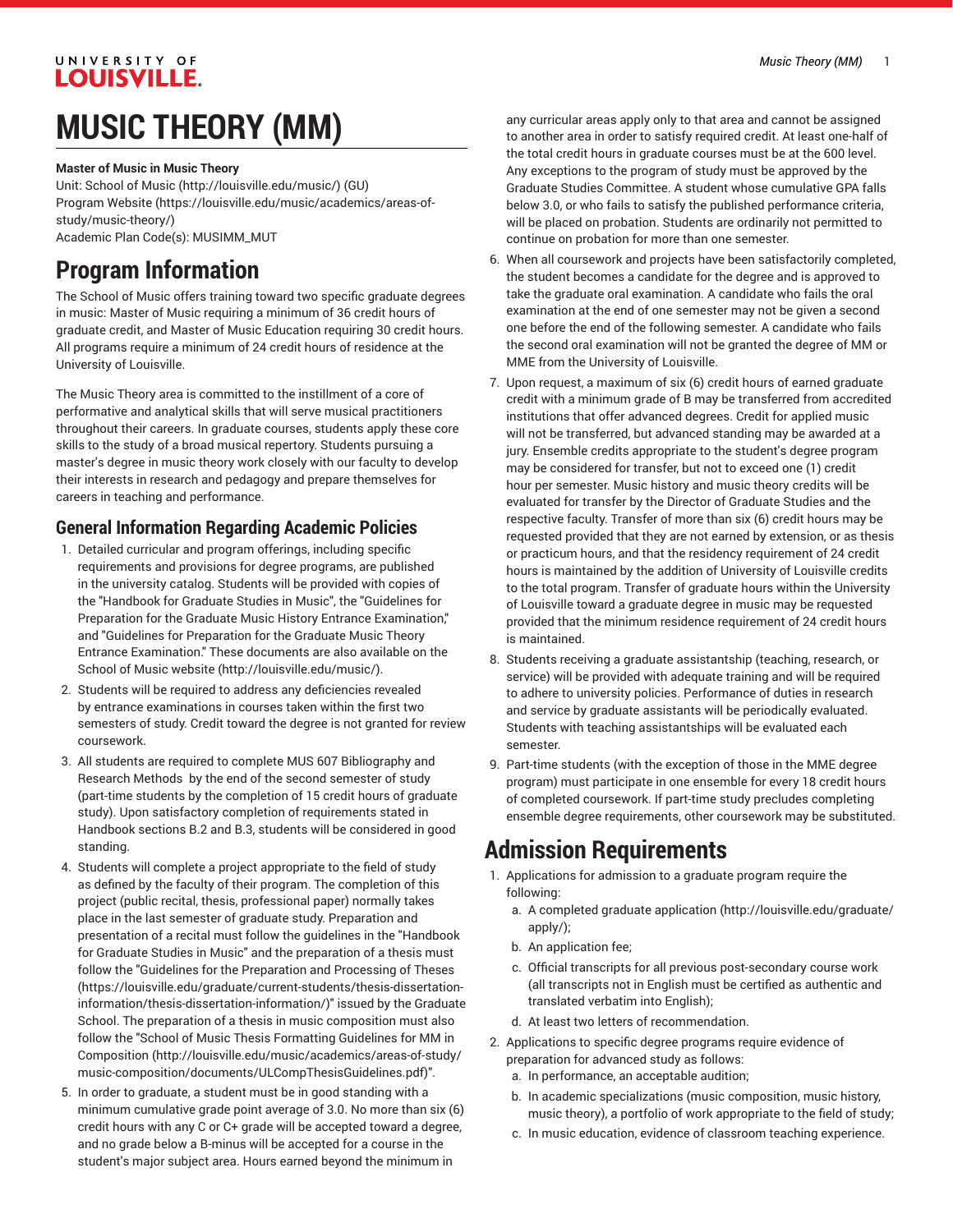#### UNIVERSITY OF **LOUISVILLE.**

# **MUSIC THEORY (MM)**

**Master of Music in Music Theory**

Unit: [School of Music \(http://louisville.edu/music/](http://louisville.edu/music/)) (GU) [Program](https://louisville.edu/music/academics/areas-of-study/music-theory/) Website [\(https://louisville.edu/music/academics/areas-of](https://louisville.edu/music/academics/areas-of-study/music-theory/)[study/music-theory/\)](https://louisville.edu/music/academics/areas-of-study/music-theory/) Academic Plan Code(s): MUSIMM\_MUT

### **Program Information**

The School of Music offers training toward two specific graduate degrees in music: Master of Music requiring a minimum of 36 credit hours of graduate credit, and Master of Music Education requiring 30 credit hours. All programs require a minimum of 24 credit hours of residence at the University of Louisville.

The Music Theory area is committed to the instillment of a core of performative and analytical skills that will serve musical practitioners throughout their careers. In graduate courses, students apply these core skills to the study of a broad musical repertory. Students pursuing a master's degree in music theory work closely with our faculty to develop their interests in research and pedagogy and prepare themselves for careers in teaching and performance.

### **General Information Regarding Academic Policies**

- 1. Detailed curricular and program offerings, including specific requirements and provisions for degree programs, are published in the university catalog. Students will be provided with copies of the "Handbook for Graduate Studies in Music", the "Guidelines for Preparation for the Graduate Music History Entrance Examination," and "Guidelines for Preparation for the Graduate Music Theory Entrance Examination." These documents are also available on [the](http://louisville.edu/music/) [School of Music website](http://louisville.edu/music/) ([http://louisville.edu/music/\)](http://louisville.edu/music/).
- 2. Students will be required to address any deficiencies revealed by entrance examinations in courses taken within the first two semesters of study. Credit toward the degree is not granted for review coursework.
- 3. All students are required to complete MUS 607 Bibliography and Research Methods by the end of the second semester of study (part-time students by the completion of 15 credit hours of graduate study). Upon satisfactory completion of requirements stated in Handbook sections B.2 and B.3, students will be considered in good standing.
- 4. Students will complete a project appropriate to the field of study as defined by the faculty of their program. The completion of this project (public recital, thesis, professional paper) normally takes place in the last semester of graduate study. Preparation and presentation of a recital must follow the guidelines in the "Handbook for Graduate Studies in Music" and the preparation of a thesis must follow the "Guidelines for the [Preparation](https://louisville.edu/graduate/current-students/thesis-dissertation-information/thesis-dissertation-information/) and Processing of Theses ([https://louisville.edu/graduate/current-students/thesis-dissertation](https://louisville.edu/graduate/current-students/thesis-dissertation-information/thesis-dissertation-information/)[information/thesis-dissertation-information/](https://louisville.edu/graduate/current-students/thesis-dissertation-information/thesis-dissertation-information/))" issued by the Graduate School. The preparation of a thesis in music composition must also follow the "School of Music Thesis [Formatting](http://louisville.edu/music/academics/areas-of-study/music-composition/documents/ULCompThesisGuidelines.pdf) Guidelines for MM in [Composition \(http://louisville.edu/music/academics/areas-of-study/](http://louisville.edu/music/academics/areas-of-study/music-composition/documents/ULCompThesisGuidelines.pdf) [music-composition/documents/ULCompThesisGuidelines.pdf\)](http://louisville.edu/music/academics/areas-of-study/music-composition/documents/ULCompThesisGuidelines.pdf)".
- 5. In order to graduate, a student must be in good standing with a minimum cumulative grade point average of 3.0. No more than six (6) credit hours with any C or C+ grade will be accepted toward a degree, and no grade below a B-minus will be accepted for a course in the student's major subject area. Hours earned beyond the minimum in

any curricular areas apply only to that area and cannot be assigned to another area in order to satisfy required credit. At least one-half of the total credit hours in graduate courses must be at the 600 level. Any exceptions to the program of study must be approved by the Graduate Studies Committee. A student whose cumulative GPA falls below 3.0, or who fails to satisfy the published performance criteria, will be placed on probation. Students are ordinarily not permitted to continue on probation for more than one semester.

- 6. When all coursework and projects have been satisfactorily completed, the student becomes a candidate for the degree and is approved to take the graduate oral examination. A candidate who fails the oral examination at the end of one semester may not be given a second one before the end of the following semester. A candidate who fails the second oral examination will not be granted the degree of MM or MME from the University of Louisville.
- 7. Upon request, a maximum of six (6) credit hours of earned graduate credit with a minimum grade of B may be transferred from accredited institutions that offer advanced degrees. Credit for applied music will not be transferred, but advanced standing may be awarded at a jury. Ensemble credits appropriate to the student's degree program may be considered for transfer, but not to exceed one (1) credit hour per semester. Music history and music theory credits will be evaluated for transfer by the Director of Graduate Studies and the respective faculty. Transfer of more than six (6) credit hours may be requested provided that they are not earned by extension, or as thesis or practicum hours, and that the residency requirement of 24 credit hours is maintained by the addition of University of Louisville credits to the total program. Transfer of graduate hours within the University of Louisville toward a graduate degree in music may be requested provided that the minimum residence requirement of 24 credit hours is maintained.
- 8. Students receiving a graduate assistantship (teaching, research, or service) will be provided with adequate training and will be required to adhere to university policies. Performance of duties in research and service by graduate assistants will be periodically evaluated. Students with teaching assistantships will be evaluated each semester.
- 9. Part-time students (with the exception of those in the MME degree program) must participate in one ensemble for every 18 credit hours of completed coursework. If part-time study precludes completing ensemble degree requirements, other coursework may be substituted.

### **Admission Requirements**

- 1. Applications for admission to a graduate program require the following:
	- a. A [completed graduate application \(http://louisville.edu/graduate/](http://louisville.edu/graduate/apply/) [apply/](http://louisville.edu/graduate/apply/));
	- b. An application fee;
	- c. Official transcripts for all previous post-secondary course work (all transcripts not in English must be certified as authentic and translated verbatim into English);
	- d. At least two letters of recommendation.
- 2. Applications to specific degree programs require evidence of preparation for advanced study as follows:
	- a. In performance, an acceptable audition;
	- b. In academic specializations (music composition, music history, music theory), a portfolio of work appropriate to the field of study;
	- c. In music education, evidence of classroom teaching experience.